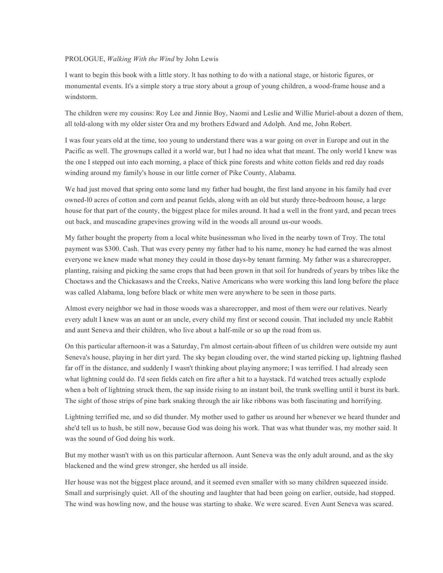## PROLOGUE, *Walking With the Wind* by John Lewis

I want to begin this book with a little story. lt has nothing to do with a national stage, or historic figures, or monumental events. It's a simple story a true story about a group of young children, a wood-frame house and a windstorm.

The children were my cousins: Roy Lee and Jinnie Boy, Naomi and Leslie and Willie Muriel-about a dozen of them, all told-along with my older sister Ora and my brothers Edward and Adolph. And me, John Robert.

I was four years old at the time, too young to understand there was a war going on over in Europe and out in the Pacific as well. The grownups called it a world war, but I had no idea what that meant. The only world I knew was the one I stepped out into each morning, a place of thick pine forests and white cotton fields and red day roads winding around my family's house in our little corner of Pike County, Alabama.

We had just moved that spring onto some land my father had bought, the first land anyone in his family had ever owned-l0 acres of cotton and corn and peanut fields, along with an old but sturdy three-bedroom house, a large house for that part of the county, the biggest place for miles around. It had a well in the front yard, and pecan trees out back, and muscadine grapevines growing wild in the woods all around us-our woods.

My father bought the property from a local white businessman who lived in the nearby town of Troy. The total payment was \$300. Cash. That was every penny my father had to his name, money he had earned the was almost everyone we knew made what money they could in those days-by tenant farming. My father was a sharecropper, planting, raising and picking the same crops that had been grown in that soil for hundreds of years by tribes like the Choctaws and the Chickasaws and the Creeks, Native Americans who were working this land long before the place was called Alabama, long before black or white men were anywhere to be seen in those parts.

Almost every neighbor we had in those woods was a sharecropper, and most of them were our relatives. Nearly every adult I knew was an aunt or an uncle, every child my first or second cousin. That included my uncle Rabbit and aunt Seneva and their children, who live about a half-mile or so up the road from us.

On this particular afternoon-it was a Saturday, I'm almost certain-about fifteen of us children were outside my aunt Seneva's house, playing in her dirt yard. The sky began clouding over, the wind started picking up, lightning flashed far off in the distance, and suddenly I wasn't thinking about playing anymore; I was terrified. I had already seen what lightning could do. I'd seen fields catch on fire after a hit to a haystack. I'd watched trees actually explode when a bolt of lightning struck them, the sap inside rising to an instant boil, the trunk swelling until it burst its bark. The sight of those strips of pine bark snaking through the air like ribbons was both fascinating and horrifying.

Lightning terrified me, and so did thunder. My mother used to gather us around her whenever we heard thunder and she'd tell us to hush, be still now, because God was doing his work. That was what thunder was, my mother said. It was the sound of God doing his work.

But my mother wasn't with us on this particular afternoon. Aunt Seneva was the only adult around, and as the sky blackened and the wind grew stronger, she herded us all inside.

Her house was not the biggest place around, and it seemed even smaller with so many children squeezed inside. Small and surprisingly quiet. All of the shouting and laughter that had been going on earlier, outside, had stopped. The wind was howling now, and the house was starting to shake. We were scared. Even Aunt Seneva was scared.